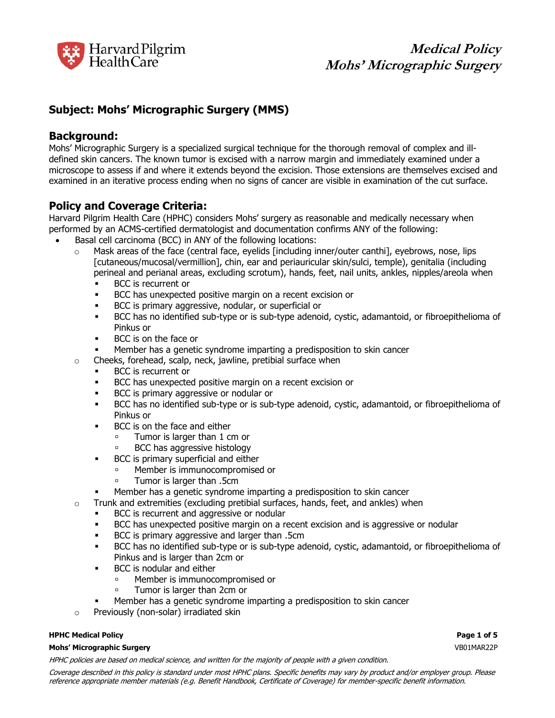

# **Subject: Mohs' Micrographic Surgery (MMS)**

## **Background:**

Mohs' Micrographic Surgery is a specialized surgical technique for the thorough removal of complex and illdefined skin cancers. The known tumor is excised with a narrow margin and immediately examined under a microscope to assess if and where it extends beyond the excision. Those extensions are themselves excised and examined in an iterative process ending when no signs of cancer are visible in examination of the cut surface.

# **Policy and Coverage Criteria:**

Harvard Pilgrim Health Care (HPHC) considers Mohs' surgery as reasonable and medically necessary when performed by an ACMS-certified dermatologist and documentation confirms ANY of the following:

- Basal cell carcinoma (BCC) in ANY of the following locations:
	- $\circ$  Mask areas of the face (central face, eyelids [including inner/outer canthi], eyebrows, nose, lips [cutaneous/mucosal/vermillion], chin, ear and periauricular skin/sulci, temple), genitalia (including perineal and perianal areas, excluding scrotum), hands, feet, nail units, ankles, nipples/areola when
		- **BCC** is recurrent or
		- BCC has unexpected positive margin on a recent excision or
		- BCC is primary aggressive, nodular, or superficial or
		- BCC has no identified sub-type or is sub-type adenoid, cystic, adamantoid, or fibroepithelioma of Pinkus or
		- BCC is on the face or
		- Member has a genetic syndrome imparting a predisposition to skin cancer
	- o Cheeks, forehead, scalp, neck, jawline, pretibial surface when
		- BCC is recurrent or
		- BCC has unexpected positive margin on a recent excision or
		- BCC is primary aggressive or nodular or
		- BCC has no identified sub-type or is sub-type adenoid, cystic, adamantoid, or fibroepithelioma of Pinkus or
		- BCC is on the face and either
			- **Tumor is larger than 1 cm or**
			- BCC has aggressive histology
		- BCC is primary superficial and either
			- Member is immunocompromised or
			- Tumor is larger than .5cm
		- Member has a genetic syndrome imparting a predisposition to skin cancer
	- $\circ$  Trunk and extremities (excluding pretibial surfaces, hands, feet, and ankles) when
		- BCC is recurrent and aggressive or nodular
		- BCC has unexpected positive margin on a recent excision and is aggressive or nodular
		- BCC is primary aggressive and larger than .5cm
		- BCC has no identified sub-type or is sub-type adenoid, cystic, adamantoid, or fibroepithelioma of Pinkus and is larger than 2cm or
		- BCC is nodular and either
			- Member is immunocompromised or
			- Tumor is larger than 2cm or
			- Member has a genetic syndrome imparting a predisposition to skin cancer
	- o Previously (non-solar) irradiated skin

### **HPHC Medical Policy Page 1 of 5**

#### **Mohs' Micrographic Surgery** VB01MAR22P

HPHC policies are based on medical science, and written for the majority of people with a given condition.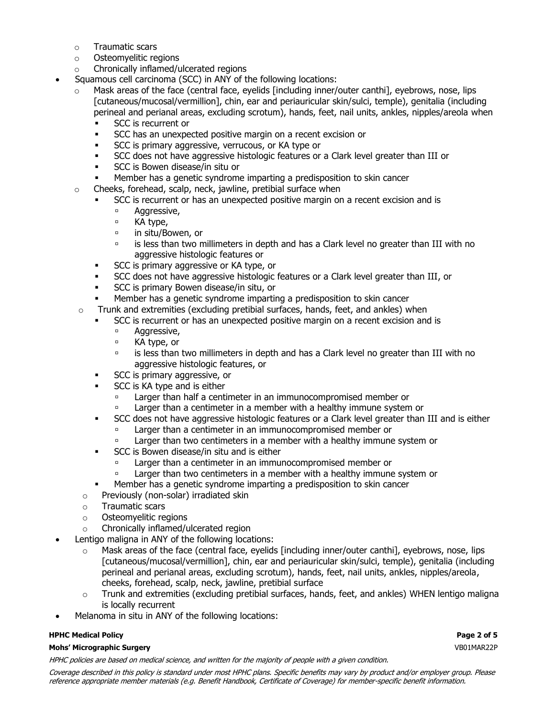- o Traumatic scars
- o Osteomyelitic regions
- o Chronically inflamed/ulcerated regions
- Squamous cell carcinoma (SCC) in ANY of the following locations:
	- Mask areas of the face (central face, eyelids [including inner/outer canthi], eyebrows, nose, lips [cutaneous/mucosal/vermillion], chin, ear and periauricular skin/sulci, temple), genitalia (including perineal and perianal areas, excluding scrotum), hands, feet, nail units, ankles, nipples/areola when
		- SCC is recurrent or
		- SCC has an unexpected positive margin on a recent excision or
		- SCC is primary aggressive, verrucous, or KA type or
		- SCC does not have aggressive histologic features or a Clark level greater than III or
		- SCC is Bowen disease/in situ or
		- Member has a genetic syndrome imparting a predisposition to skin cancer
	- $\circ$  Cheeks, forehead, scalp, neck, jawline, pretibial surface when
		- SCC is recurrent or has an unexpected positive margin on a recent excision and is
			- <sup>o</sup> Aggressive,
			- □ KA type,
			- **in situ/Bowen, or**
			- is less than two millimeters in depth and has a Clark level no greater than III with no aggressive histologic features or
		- **EXEC IS primary aggressive or KA type, or**
		- SCC does not have aggressive histologic features or a Clark level greater than III, or
		- SCC is primary Bowen disease/in situ, or
		- Member has a genetic syndrome imparting a predisposition to skin cancer
	- o Trunk and extremities (excluding pretibial surfaces, hands, feet, and ankles) when
		- SCC is recurrent or has an unexpected positive margin on a recent excision and is
			- <sup>o</sup> Aggressive,
			- □ KA type, or
			- is less than two millimeters in depth and has a Clark level no greater than III with no aggressive histologic features, or
		- SCC is primary aggressive, or
		- SCC is KA type and is either
			- Larger than half a centimeter in an immunocompromised member or
			- **Example 1** Larger than a centimeter in a member with a healthy immune system or
		- SCC does not have aggressive histologic features or a Clark level greater than III and is either
			- **Larger than a centimeter in an immunocompromised member or**
			- **Example 1** Larger than two centimeters in a member with a healthy immune system or
		- **EXEC is Bowen disease/in situ and is either** 
			- Larger than a centimeter in an immunocompromised member or
			- Larger than two centimeters in a member with a healthy immune system or
		- Member has a genetic syndrome imparting a predisposition to skin cancer
	- o Previously (non-solar) irradiated skin
	- o Traumatic scars
	- o Osteomyelitic regions
	- o Chronically inflamed/ulcerated region
- Lentigo maligna in ANY of the following locations:
	- $\circ$  Mask areas of the face (central face, evelids [including inner/outer canthi], evebrows, nose, lips [cutaneous/mucosal/vermillion], chin, ear and periauricular skin/sulci, temple), genitalia (including perineal and perianal areas, excluding scrotum), hands, feet, nail units, ankles, nipples/areola, cheeks, forehead, scalp, neck, jawline, pretibial surface
	- $\circ$  Trunk and extremities (excluding pretibial surfaces, hands, feet, and ankles) WHEN lentigo maligna is locally recurrent
- Melanoma in situ in ANY of the following locations:

## **HPHC Medical Policy Page 2 of 5**

## **Mohs' Micrographic Surgery** VB01MAR22P

HPHC policies are based on medical science, and written for the majority of people with a given condition.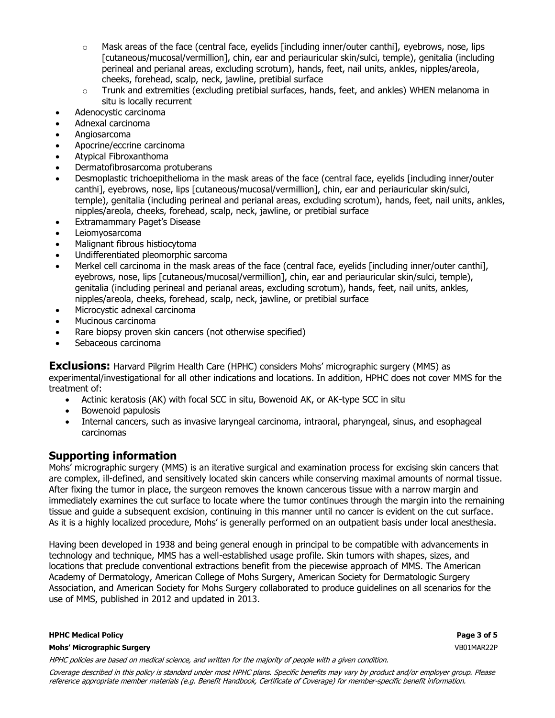- $\circ$  Mask areas of the face (central face, eyelids [including inner/outer canthi], eyebrows, nose, lips [cutaneous/mucosal/vermillion], chin, ear and periauricular skin/sulci, temple), genitalia (including perineal and perianal areas, excluding scrotum), hands, feet, nail units, ankles, nipples/areola, cheeks, forehead, scalp, neck, jawline, pretibial surface
- $\circ$  Trunk and extremities (excluding pretibial surfaces, hands, feet, and ankles) WHEN melanoma in situ is locally recurrent
- Adenocystic carcinoma
- Adnexal carcinoma
- Angiosarcoma
- Apocrine/eccrine carcinoma
- Atypical Fibroxanthoma
- Dermatofibrosarcoma protuberans
- Desmoplastic trichoepithelioma in the mask areas of the face (central face, eyelids [including inner/outer canthi], eyebrows, nose, lips [cutaneous/mucosal/vermillion], chin, ear and periauricular skin/sulci, temple), genitalia (including perineal and perianal areas, excluding scrotum), hands, feet, nail units, ankles, nipples/areola, cheeks, forehead, scalp, neck, jawline, or pretibial surface
- Extramammary Paget's Disease
- Leiomyosarcoma
- Malignant fibrous histiocytoma
- Undifferentiated pleomorphic sarcoma
- Merkel cell carcinoma in the mask areas of the face (central face, eyelids [including inner/outer canthi], eyebrows, nose, lips [cutaneous/mucosal/vermillion], chin, ear and periauricular skin/sulci, temple), genitalia (including perineal and perianal areas, excluding scrotum), hands, feet, nail units, ankles, nipples/areola, cheeks, forehead, scalp, neck, jawline, or pretibial surface
- Microcystic adnexal carcinoma
- Mucinous carcinoma
- Rare biopsy proven skin cancers (not otherwise specified)
- Sebaceous carcinoma

**Exclusions:** Harvard Pilgrim Health Care (HPHC) considers Mohs' micrographic surgery (MMS) as experimental/investigational for all other indications and locations. In addition, HPHC does not cover MMS for the treatment of:

- Actinic keratosis (AK) with focal SCC in situ, Bowenoid AK, or AK-type SCC in situ
- Bowenoid papulosis
- Internal cancers, such as invasive laryngeal carcinoma, intraoral, pharyngeal, sinus, and esophageal carcinomas

# **Supporting information**

Mohs' micrographic surgery (MMS) is an iterative surgical and examination process for excising skin cancers that are complex, ill-defined, and sensitively located skin cancers while conserving maximal amounts of normal tissue. After fixing the tumor in place, the surgeon removes the known cancerous tissue with a narrow margin and immediately examines the cut surface to locate where the tumor continues through the margin into the remaining tissue and guide a subsequent excision, continuing in this manner until no cancer is evident on the cut surface. As it is a highly localized procedure, Mohs' is generally performed on an outpatient basis under local anesthesia.

Having been developed in 1938 and being general enough in principal to be compatible with advancements in technology and technique, MMS has a well-established usage profile. Skin tumors with shapes, sizes, and locations that preclude conventional extractions benefit from the piecewise approach of MMS. The American Academy of Dermatology, American College of Mohs Surgery, American Society for Dermatologic Surgery Association, and American Society for Mohs Surgery collaborated to produce guidelines on all scenarios for the use of MMS, published in 2012 and updated in 2013.

#### **HPHC Medical Policy Page 3 of 5**

#### **Mohs' Micrographic Surgery** VB01MAR22P

HPHC policies are based on medical science, and written for the majority of people with a given condition.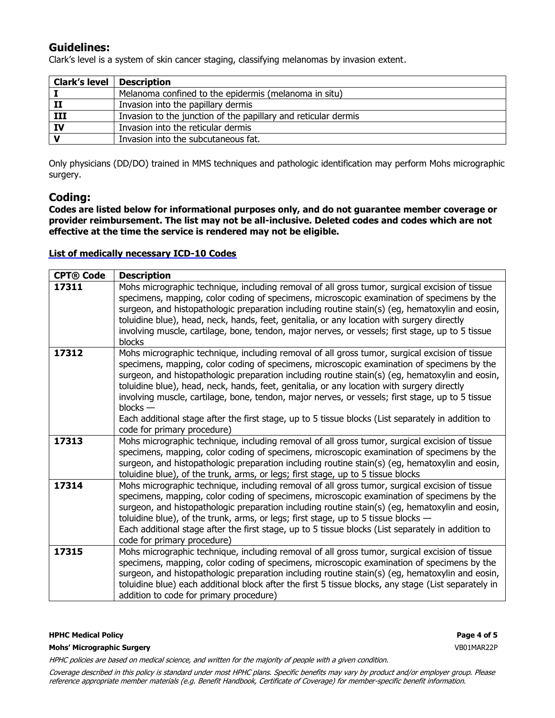# **Guidelines:**

Clark's level is a system of skin cancer staging, classifying melanomas by invasion extent.

| Clark's level   Description |                                                                |
|-----------------------------|----------------------------------------------------------------|
|                             | Melanoma confined to the epidermis (melanoma in situ)          |
| п                           | Invasion into the papillary dermis                             |
| III                         | Invasion to the junction of the papillary and reticular dermis |
| IV                          | Invasion into the reticular dermis                             |
|                             | Invasion into the subcutaneous fat.                            |

Only physicians (DD/DO) trained in MMS techniques and pathologic identification may perform Mohs micrographic surgery.

## **Coding:**

**Codes are listed below for informational purposes only, and do not guarantee member coverage or provider reimbursement. The list may not be all-inclusive. Deleted codes and codes which are not effective at the time the service is rendered may not be eligible.**

## **[List of medically necessary ICD-10 Codes](https://www.harvardpilgrim.org/provider/wp-content/uploads/sites/7/2020/12/Mohs-Micrographic-Surgery-ICD-10-codes.pdf)**

| <b>CPT® Code</b> | <b>Description</b>                                                                                                                                                                                                                                                                                                                                                                                                                                                                                                                                                                                                                                   |
|------------------|------------------------------------------------------------------------------------------------------------------------------------------------------------------------------------------------------------------------------------------------------------------------------------------------------------------------------------------------------------------------------------------------------------------------------------------------------------------------------------------------------------------------------------------------------------------------------------------------------------------------------------------------------|
| 17311            | Mohs micrographic technique, including removal of all gross tumor, surgical excision of tissue<br>specimens, mapping, color coding of specimens, microscopic examination of specimens by the<br>surgeon, and histopathologic preparation including routine stain(s) (eg, hematoxylin and eosin,<br>toluidine blue), head, neck, hands, feet, genitalia, or any location with surgery directly<br>involving muscle, cartilage, bone, tendon, major nerves, or vessels; first stage, up to 5 tissue<br>blocks                                                                                                                                          |
| 17312            | Mohs micrographic technique, including removal of all gross tumor, surgical excision of tissue<br>specimens, mapping, color coding of specimens, microscopic examination of specimens by the<br>surgeon, and histopathologic preparation including routine stain(s) (eg, hematoxylin and eosin,<br>toluidine blue), head, neck, hands, feet, genitalia, or any location with surgery directly<br>involving muscle, cartilage, bone, tendon, major nerves, or vessels; first stage, up to 5 tissue<br>$blocks -$<br>Each additional stage after the first stage, up to 5 tissue blocks (List separately in addition to<br>code for primary procedure) |
| 17313            | Mohs micrographic technique, including removal of all gross tumor, surgical excision of tissue<br>specimens, mapping, color coding of specimens, microscopic examination of specimens by the<br>surgeon, and histopathologic preparation including routine stain(s) (eg, hematoxylin and eosin,<br>toluidine blue), of the trunk, arms, or legs; first stage, up to 5 tissue blocks                                                                                                                                                                                                                                                                  |
| 17314            | Mohs micrographic technique, including removal of all gross tumor, surgical excision of tissue<br>specimens, mapping, color coding of specimens, microscopic examination of specimens by the<br>surgeon, and histopathologic preparation including routine stain(s) (eg, hematoxylin and eosin,<br>toluidine blue), of the trunk, arms, or legs; first stage, up to 5 tissue blocks $-$<br>Each additional stage after the first stage, up to 5 tissue blocks (List separately in addition to<br>code for primary procedure)                                                                                                                         |
| 17315            | Mohs micrographic technique, including removal of all gross tumor, surgical excision of tissue<br>specimens, mapping, color coding of specimens, microscopic examination of specimens by the<br>surgeon, and histopathologic preparation including routine stain(s) (eg, hematoxylin and eosin,<br>toluidine blue) each additional block after the first 5 tissue blocks, any stage (List separately in<br>addition to code for primary procedure)                                                                                                                                                                                                   |

#### **HPHC Medical Policy Page 4 of 5**

**Mohs' Micrographic Surgery** VB01MAR22P

HPHC policies are based on medical science, and written for the majority of people with a given condition.